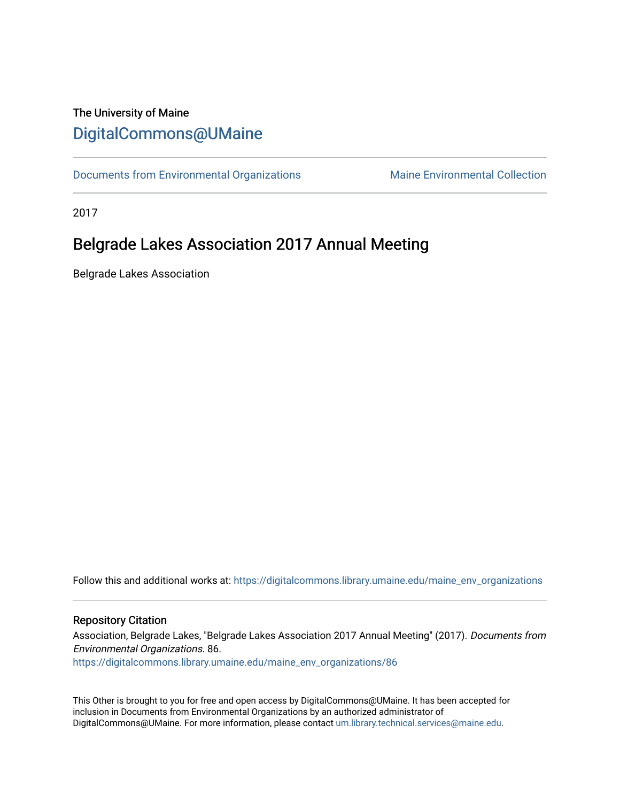## The University of Maine [DigitalCommons@UMaine](https://digitalcommons.library.umaine.edu/)

[Documents from Environmental Organizations](https://digitalcommons.library.umaine.edu/maine_env_organizations) Maine Environmental Collection

2017

## Belgrade Lakes Association 2017 Annual Meeting

Belgrade Lakes Association

Follow this and additional works at: [https://digitalcommons.library.umaine.edu/maine\\_env\\_organizations](https://digitalcommons.library.umaine.edu/maine_env_organizations?utm_source=digitalcommons.library.umaine.edu%2Fmaine_env_organizations%2F86&utm_medium=PDF&utm_campaign=PDFCoverPages)

#### Repository Citation

Association, Belgrade Lakes, "Belgrade Lakes Association 2017 Annual Meeting" (2017). Documents from Environmental Organizations. 86. [https://digitalcommons.library.umaine.edu/maine\\_env\\_organizations/86](https://digitalcommons.library.umaine.edu/maine_env_organizations/86?utm_source=digitalcommons.library.umaine.edu%2Fmaine_env_organizations%2F86&utm_medium=PDF&utm_campaign=PDFCoverPages) 

This Other is brought to you for free and open access by DigitalCommons@UMaine. It has been accepted for inclusion in Documents from Environmental Organizations by an authorized administrator of DigitalCommons@UMaine. For more information, please contact [um.library.technical.services@maine.edu](mailto:um.library.technical.services@maine.edu).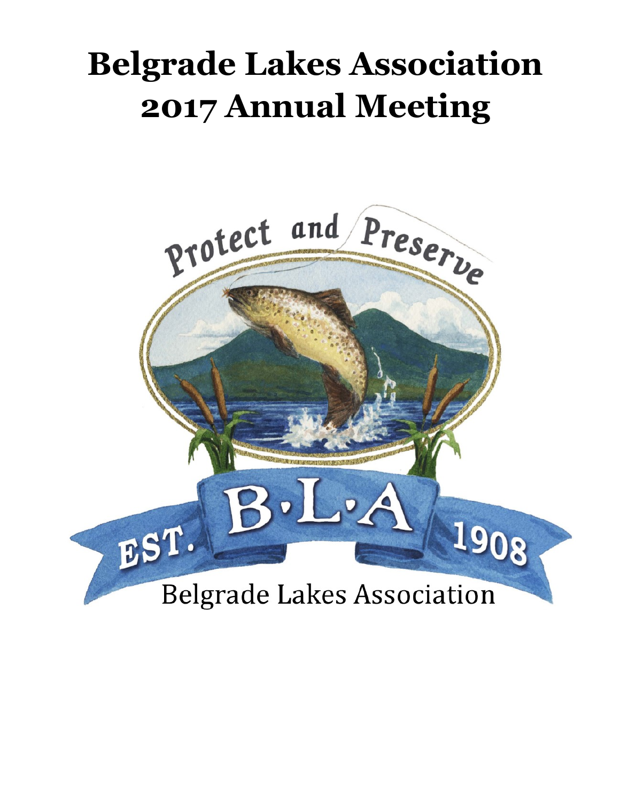# **Belgrade Lakes Association 2017 Annual Meeting**

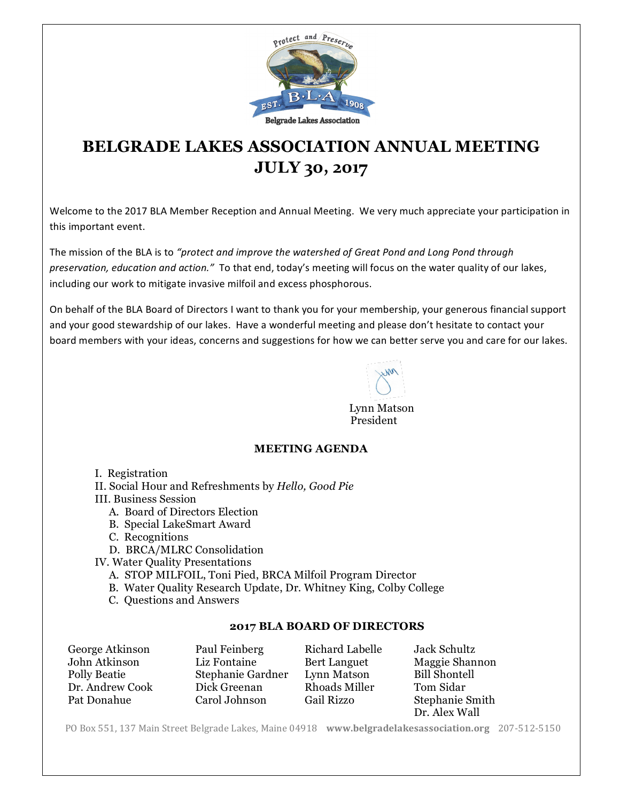

# **BELGRADE LAKES ASSOCIATION ANNUAL MEETING JULY 30, 2017**

Welcome to the 2017 BLA Member Reception and Annual Meeting. We very much appreciate your participation in this important event.

The mission of the BLA is to "protect and improve the watershed of Great Pond and Long Pond through preservation, education and action." To that end, today's meeting will focus on the water quality of our lakes, including our work to mitigate invasive milfoil and excess phosphorous.

On behalf of the BLA Board of Directors I want to thank you for your membership, your generous financial support and your good stewardship of our lakes. Have a wonderful meeting and please don't hesitate to contact your board members with your ideas, concerns and suggestions for how we can better serve you and care for our lakes.

 Lynn Matson President

#### **MEETING AGENDA**

- I. Registration
- II. Social Hour and Refreshments by *Hello, Good Pie*

III. Business Session

- A. Board of Directors Election
- B. Special LakeSmart Award
- C. Recognitions

D. BRCA/MLRC Consolidation

- IV. Water Quality Presentations
	- A. STOP MILFOIL, Toni Pied, BRCA Milfoil Program Director
	- B. Water Quality Research Update, Dr. Whitney King, Colby College
	- C. Questions and Answers

#### **2017 BLA BOARD OF DIRECTORS**

| George Atkinson | Paul Feinberg     | Richard Labelle     | Jack Schultz         |
|-----------------|-------------------|---------------------|----------------------|
| John Atkinson   | Liz Fontaine      | <b>Bert Languet</b> | Maggie Shannon       |
| Polly Beatie    | Stephanie Gardner | Lynn Matson         | <b>Bill Shontell</b> |
| Dr. Andrew Cook | Dick Greenan      | Rhoads Miller       | Tom Sidar            |
| Pat Donahue     | Carol Johnson     | <b>Gail Rizzo</b>   | Stephanie Smith      |
|                 |                   |                     | Dr. Alex Wall        |

PO Box 551, 137 Main Street Belgrade Lakes, Maine 04918 www.belgradelakesassociation.org 207-512-5150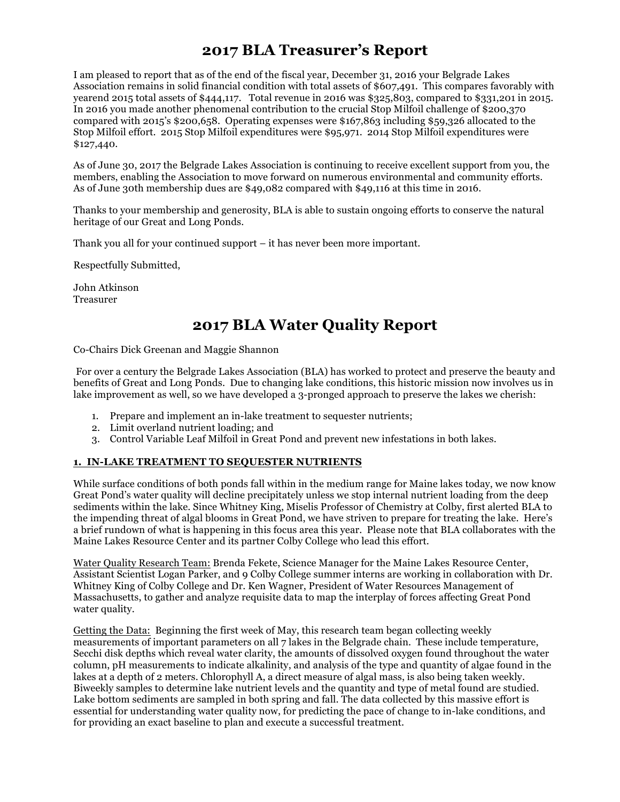## **2017 BLA Treasurer's Report**

I am pleased to report that as of the end of the fiscal year, December 31, 2016 your Belgrade Lakes Association remains in solid financial condition with total assets of \$607,491. This compares favorably with yearend 2015 total assets of \$444,117. Total revenue in 2016 was \$325,803, compared to \$331,201 in 2015. In 2016 you made another phenomenal contribution to the crucial Stop Milfoil challenge of \$200,370 compared with 2015's \$200,658. Operating expenses were \$167,863 including \$59,326 allocated to the Stop Milfoil effort. 2015 Stop Milfoil expenditures were \$95,971. 2014 Stop Milfoil expenditures were \$127,440.

As of June 30, 2017 the Belgrade Lakes Association is continuing to receive excellent support from you, the members, enabling the Association to move forward on numerous environmental and community efforts. As of June 30th membership dues are \$49,082 compared with \$49,116 at this time in 2016.

Thanks to your membership and generosity, BLA is able to sustain ongoing efforts to conserve the natural heritage of our Great and Long Ponds.

Thank you all for your continued support – it has never been more important.

Respectfully Submitted,

John Atkinson Treasurer

## **2017 BLA Water Quality Report**

Co-Chairs Dick Greenan and Maggie Shannon

For over a century the Belgrade Lakes Association (BLA) has worked to protect and preserve the beauty and benefits of Great and Long Ponds. Due to changing lake conditions, this historic mission now involves us in lake improvement as well, so we have developed a 3-pronged approach to preserve the lakes we cherish:

- 1. Prepare and implement an in-lake treatment to sequester nutrients;
- 2. Limit overland nutrient loading; and
- 3. Control Variable Leaf Milfoil in Great Pond and prevent new infestations in both lakes.

#### **1. IN-LAKE TREATMENT TO SEQUESTER NUTRIENTS**

While surface conditions of both ponds fall within in the medium range for Maine lakes today, we now know Great Pond's water quality will decline precipitately unless we stop internal nutrient loading from the deep sediments within the lake. Since Whitney King, Miselis Professor of Chemistry at Colby, first alerted BLA to the impending threat of algal blooms in Great Pond, we have striven to prepare for treating the lake. Here's a brief rundown of what is happening in this focus area this year. Please note that BLA collaborates with the Maine Lakes Resource Center and its partner Colby College who lead this effort.

Water Quality Research Team: Brenda Fekete, Science Manager for the Maine Lakes Resource Center, Assistant Scientist Logan Parker, and 9 Colby College summer interns are working in collaboration with Dr. Whitney King of Colby College and Dr. Ken Wagner, President of Water Resources Management of Massachusetts, to gather and analyze requisite data to map the interplay of forces affecting Great Pond water quality.

Getting the Data: Beginning the first week of May, this research team began collecting weekly measurements of important parameters on all 7 lakes in the Belgrade chain. These include temperature, Secchi disk depths which reveal water clarity, the amounts of dissolved oxygen found throughout the water column, pH measurements to indicate alkalinity, and analysis of the type and quantity of algae found in the lakes at a depth of 2 meters. Chlorophyll A, a direct measure of algal mass, is also being taken weekly. Biweekly samples to determine lake nutrient levels and the quantity and type of metal found are studied. Lake bottom sediments are sampled in both spring and fall. The data collected by this massive effort is essential for understanding water quality now, for predicting the pace of change to in-lake conditions, and for providing an exact baseline to plan and execute a successful treatment.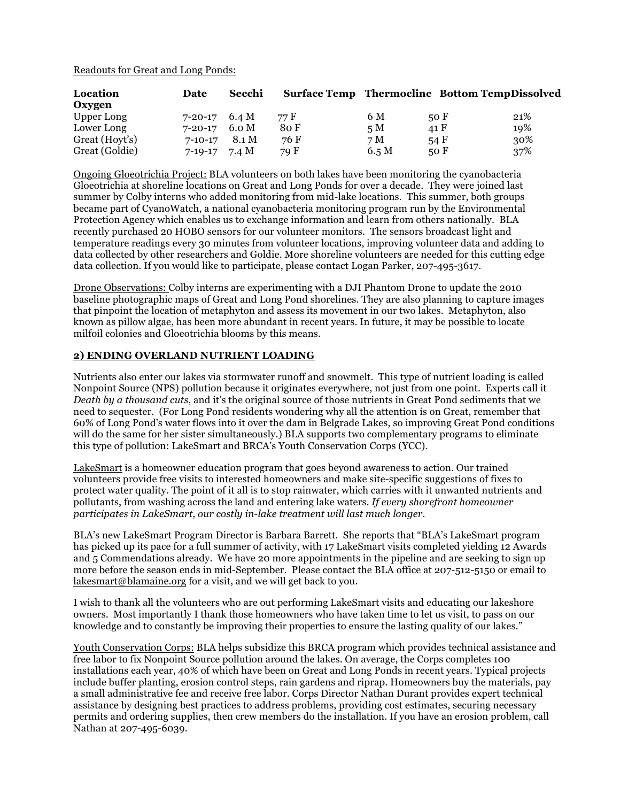Readouts for Great and Long Ponds:

| Location<br>Oxygen | Date          | Secchi | <b>Surface Temp Thermocline Bottom TempDissolved</b> |       |      |     |
|--------------------|---------------|--------|------------------------------------------------------|-------|------|-----|
| Upper Long         | 7-20-17       | 6.4 M  | 77 F                                                 | 6 M   | 50F  | 21% |
| Lower Long         | $7 - 20 - 17$ | 6.0 M  | 80 F                                                 | 5M    | 41 F | 19% |
| Great (Hoyt's)     | $7 - 10 - 17$ | 8.1 M  | 76 F                                                 | 7 M   | 54 F | 30% |
| Great (Goldie)     | $7 - 19 - 17$ | 7.4 M  | 79 F                                                 | 6.5 M | 50 F | 37% |

Ongoing Gloeotrichia Project: BLA volunteers on both lakes have been monitoring the cyanobacteria Gloeotrichia at shoreline locations on Great and Long Ponds for over a decade. They were joined last summer by Colby interns who added monitoring from mid-lake locations. This summer, both groups became part of CyanoWatch, a national cyanobacteria monitoring program run by the Environmental Protection Agency which enables us to exchange information and learn from others nationally. BLA recently purchased 20 HOBO sensors for our volunteer monitors. The sensors broadcast light and temperature readings every 30 minutes from volunteer locations, improving volunteer data and adding to data collected by other researchers and Goldie. More shoreline volunteers are needed for this cutting edge data collection. If you would like to participate, please contact Logan Parker, 207-495-3617.

Drone Observations: Colby interns are experimenting with a DJI Phantom Drone to update the 2010 baseline photographic maps of Great and Long Pond shorelines. They are also planning to capture images that pinpoint the location of metaphyton and assess its movement in our two lakes. Metaphyton, also known as pillow algae, has been more abundant in recent years. In future, it may be possible to locate milfoil colonies and Gloeotrichia blooms by this means.

#### **2) ENDING OVERLAND NUTRIENT LOADING**

Nutrients also enter our lakes via stormwater runoff and snowmelt. This type of nutrient loading is called Nonpoint Source (NPS) pollution because it originates everywhere, not just from one point. Experts call it *Death by a thousand cuts*, and it's the original source of those nutrients in Great Pond sediments that we need to sequester. (For Long Pond residents wondering why all the attention is on Great, remember that 60% of Long Pond's water flows into it over the dam in Belgrade Lakes, so improving Great Pond conditions will do the same for her sister simultaneously.) BLA supports two complementary programs to eliminate this type of pollution: LakeSmart and BRCA's Youth Conservation Corps (YCC).

LakeSmart is a homeowner education program that goes beyond awareness to action. Our trained volunteers provide free visits to interested homeowners and make site-specific suggestions of fixes to protect water quality. The point of it all is to stop rainwater, which carries with it unwanted nutrients and pollutants, from washing across the land and entering lake waters. *If every shorefront homeowner participates in LakeSmart, our costly in-lake treatment will last much longer.*

BLA's new LakeSmart Program Director is Barbara Barrett. She reports that "BLA's LakeSmart program has picked up its pace for a full summer of activity, with 17 LakeSmart visits completed yielding 12 Awards and 5 Commendations already. We have 20 more appointments in the pipeline and are seeking to sign up more before the season ends in mid-September. Please contact the BLA office at 207-512-5150 or email to lakesmart@blamaine.org for a visit, and we will get back to you.

I wish to thank all the volunteers who are out performing LakeSmart visits and educating our lakeshore owners. Most importantly I thank those homeowners who have taken time to let us visit, to pass on our knowledge and to constantly be improving their properties to ensure the lasting quality of our lakes."

Youth Conservation Corps: BLA helps subsidize this BRCA program which provides technical assistance and free labor to fix Nonpoint Source pollution around the lakes. On average, the Corps completes 100 installations each year, 40% of which have been on Great and Long Ponds in recent years. Typical projects include buffer planting, erosion control steps, rain gardens and riprap. Homeowners buy the materials, pay a small administrative fee and receive free labor. Corps Director Nathan Durant provides expert technical assistance by designing best practices to address problems, providing cost estimates, securing necessary permits and ordering supplies, then crew members do the installation. If you have an erosion problem, call Nathan at 207-495-6039.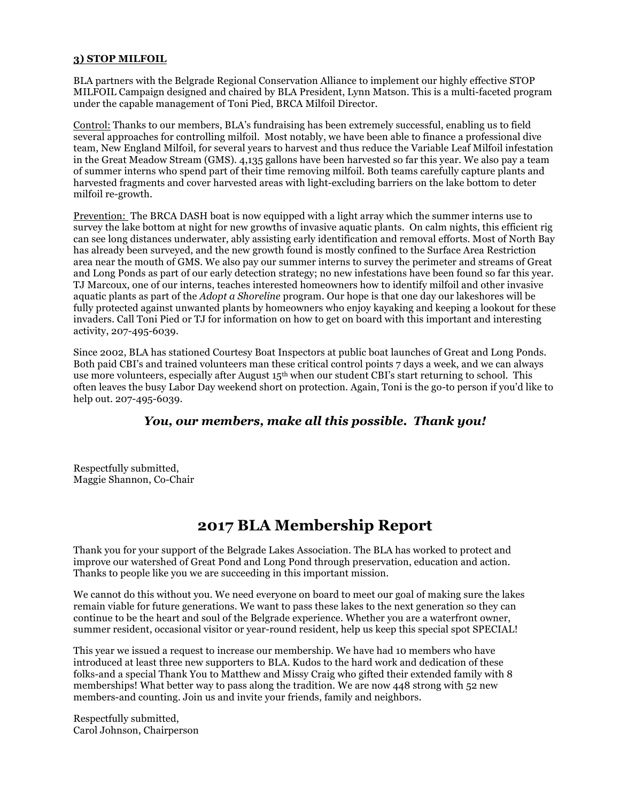#### **3) STOP MILFOIL**

BLA partners with the Belgrade Regional Conservation Alliance to implement our highly effective STOP MILFOIL Campaign designed and chaired by BLA President, Lynn Matson. This is a multi-faceted program under the capable management of Toni Pied, BRCA Milfoil Director.

Control: Thanks to our members, BLA's fundraising has been extremely successful, enabling us to field several approaches for controlling milfoil. Most notably, we have been able to finance a professional dive team, New England Milfoil, for several years to harvest and thus reduce the Variable Leaf Milfoil infestation in the Great Meadow Stream (GMS). 4,135 gallons have been harvested so far this year. We also pay a team of summer interns who spend part of their time removing milfoil. Both teams carefully capture plants and harvested fragments and cover harvested areas with light-excluding barriers on the lake bottom to deter milfoil re-growth.

Prevention: The BRCA DASH boat is now equipped with a light array which the summer interns use to survey the lake bottom at night for new growths of invasive aquatic plants. On calm nights, this efficient rig can see long distances underwater, ably assisting early identification and removal efforts. Most of North Bay has already been surveyed, and the new growth found is mostly confined to the Surface Area Restriction area near the mouth of GMS. We also pay our summer interns to survey the perimeter and streams of Great and Long Ponds as part of our early detection strategy; no new infestations have been found so far this year. TJ Marcoux, one of our interns, teaches interested homeowners how to identify milfoil and other invasive aquatic plants as part of the *Adopt a Shoreline* program. Our hope is that one day our lakeshores will be fully protected against unwanted plants by homeowners who enjoy kayaking and keeping a lookout for these invaders. Call Toni Pied or TJ for information on how to get on board with this important and interesting activity, 207-495-6039.

Since 2002, BLA has stationed Courtesy Boat Inspectors at public boat launches of Great and Long Ponds. Both paid CBI's and trained volunteers man these critical control points 7 days a week, and we can always use more volunteers, especially after August 15<sup>th</sup> when our student CBI's start returning to school. This often leaves the busy Labor Day weekend short on protection. Again, Toni is the go-to person if you'd like to help out. 207-495-6039.

#### *You, our members, make all this possible. Thank you!*

Respectfully submitted, Maggie Shannon, Co-Chair

### **2017 BLA Membership Report**

Thank you for your support of the Belgrade Lakes Association. The BLA has worked to protect and improve our watershed of Great Pond and Long Pond through preservation, education and action. Thanks to people like you we are succeeding in this important mission.

We cannot do this without you. We need everyone on board to meet our goal of making sure the lakes remain viable for future generations. We want to pass these lakes to the next generation so they can continue to be the heart and soul of the Belgrade experience. Whether you are a waterfront owner, summer resident, occasional visitor or year-round resident, help us keep this special spot SPECIAL!

This year we issued a request to increase our membership. We have had 10 members who have introduced at least three new supporters to BLA. Kudos to the hard work and dedication of these folks-and a special Thank You to Matthew and Missy Craig who gifted their extended family with 8 memberships! What better way to pass along the tradition. We are now 448 strong with 52 new members-and counting. Join us and invite your friends, family and neighbors.

Respectfully submitted, Carol Johnson, Chairperson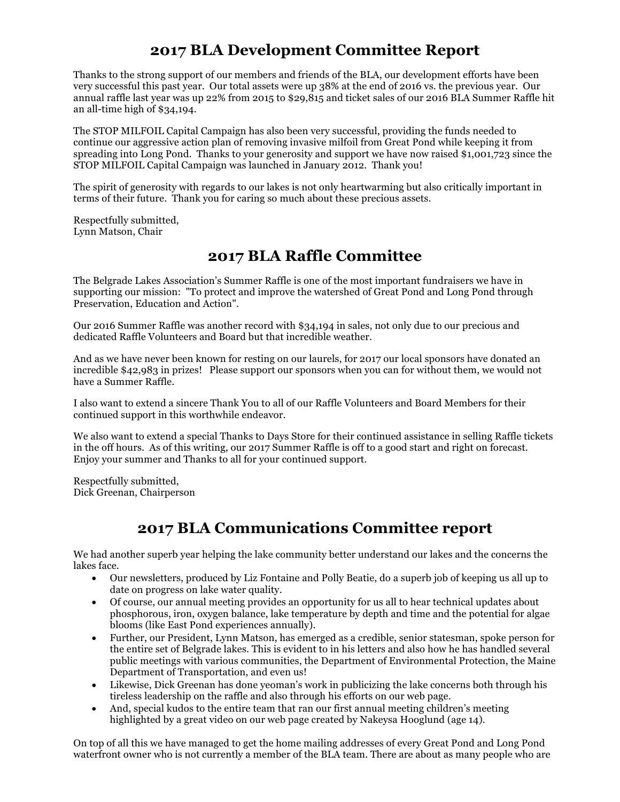## **2017 BLA Development Committee Report**

Thanks to the strong support of our members and friends of the BLA, our development efforts have been very successful this past year. Our total assets were up 38% at the end of 2016 vs. the previous year. Our annual raffle last year was up 22% from 2015 to \$29,815 and ticket sales of our 2016 BLA Summer Raffle hit an all-time high of \$34,194.

The STOP MILFOIL Capital Campaign has also been very successful, providing the funds needed to continue our aggressive action plan of removing invasive milfoil from Great Pond while keeping it from spreading into Long Pond. Thanks to your generosity and support we have now raised \$1,001,723 since the STOP MILFOIL Capital Campaign was launched in January 2012. Thank you!

The spirit of generosity with regards to our lakes is not only heartwarming but also critically important in terms of their future. Thank you for caring so much about these precious assets.

Respectfully submitted, Lynn Matson, Chair

## **2017 BLA Raffle Committee**

The Belgrade Lakes Association's Summer Raffle is one of the most important fundraisers we have in supporting our mission: "To protect and improve the watershed of Great Pond and Long Pond through Preservation, Education and Action".

Our 2016 Summer Raffle was another record with \$34,194 in sales, not only due to our precious and dedicated Raffle Volunteers and Board but that incredible weather.

And as we have never been known for resting on our laurels, for 2017 our local sponsors have donated an incredible \$42,983 in prizes! Please support our sponsors when you can for without them, we would not have a Summer Raffle.

I also want to extend a sincere Thank You to all of our Raffle Volunteers and Board Members for their continued support in this worthwhile endeavor.

We also want to extend a special Thanks to Days Store for their continued assistance in selling Raffle tickets in the off hours. As of this writing, our 2017 Summer Raffle is off to a good start and right on forecast. Enjoy your summer and Thanks to all for your continued support.

Respectfully submitted, Dick Greenan, Chairperson

## **2017 BLA Communications Committee report**

We had another superb year helping the lake community better understand our lakes and the concerns the lakes face.

- Our newsletters, produced by Liz Fontaine and Polly Beatie, do a superb job of keeping us all up to date on progress on lake water quality.
- Of course, our annual meeting provides an opportunity for us all to hear technical updates about phosphorous, iron, oxygen balance, lake temperature by depth and time and the potential for algae blooms (like East Pond experiences annually).
- Further, our President, Lynn Matson, has emerged as a credible, senior statesman, spoke person for the entire set of Belgrade lakes. This is evident to in his letters and also how he has handled several public meetings with various communities, the Department of Environmental Protection, the Maine Department of Transportation, and even us!
- Likewise, Dick Greenan has done yeoman's work in publicizing the lake concerns both through his tireless leadership on the raffle and also through his efforts on our web page.
- And, special kudos to the entire team that ran our first annual meeting children's meeting highlighted by a great video on our web page created by Nakeysa Hooglund (age 14).

On top of all this we have managed to get the home mailing addresses of every Great Pond and Long Pond waterfront owner who is not currently a member of the BLA team. There are about as many people who are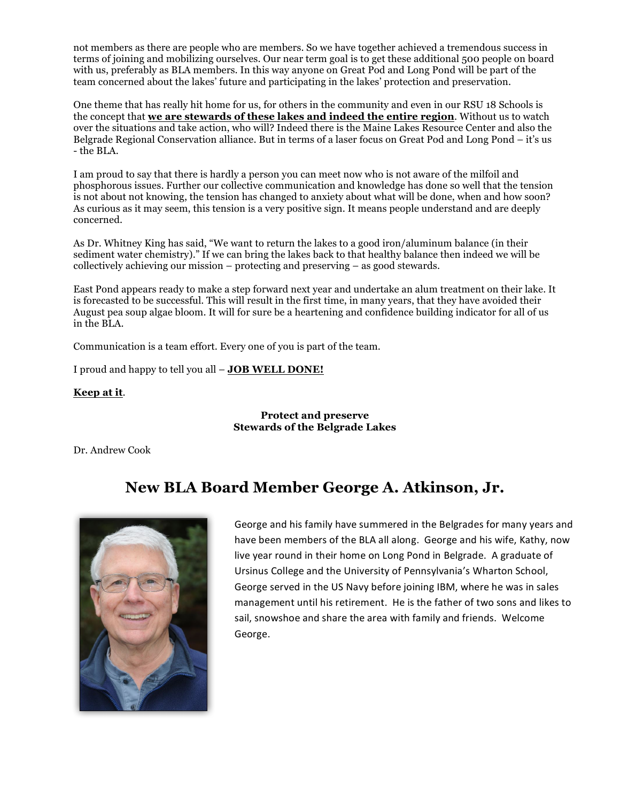not members as there are people who are members. So we have together achieved a tremendous success in terms of joining and mobilizing ourselves. Our near term goal is to get these additional 500 people on board with us, preferably as BLA members. In this way anyone on Great Pod and Long Pond will be part of the team concerned about the lakes' future and participating in the lakes' protection and preservation.

One theme that has really hit home for us, for others in the community and even in our RSU 18 Schools is the concept that **we are stewards of these lakes and indeed the entire region**. Without us to watch over the situations and take action, who will? Indeed there is the Maine Lakes Resource Center and also the Belgrade Regional Conservation alliance. But in terms of a laser focus on Great Pod and Long Pond – it's us - the BLA.

I am proud to say that there is hardly a person you can meet now who is not aware of the milfoil and phosphorous issues. Further our collective communication and knowledge has done so well that the tension is not about not knowing, the tension has changed to anxiety about what will be done, when and how soon? As curious as it may seem, this tension is a very positive sign. It means people understand and are deeply concerned.

As Dr. Whitney King has said, "We want to return the lakes to a good iron/aluminum balance (in their sediment water chemistry)." If we can bring the lakes back to that healthy balance then indeed we will be collectively achieving our mission – protecting and preserving – as good stewards.

East Pond appears ready to make a step forward next year and undertake an alum treatment on their lake. It is forecasted to be successful. This will result in the first time, in many years, that they have avoided their August pea soup algae bloom. It will for sure be a heartening and confidence building indicator for all of us in the BLA.

Communication is a team effort. Every one of you is part of the team.

I proud and happy to tell you all – **JOB WELL DONE!** 

#### **Keep at it**.

#### **Protect and preserve Stewards of the Belgrade Lakes**

Dr. Andrew Cook

## **New BLA Board Member George A. Atkinson, Jr.**



George and his family have summered in the Belgrades for many years and have been members of the BLA all along. George and his wife, Kathy, now live year round in their home on Long Pond in Belgrade. A graduate of Ursinus College and the University of Pennsylvania's Wharton School, George served in the US Navy before joining IBM, where he was in sales management until his retirement. He is the father of two sons and likes to sail, snowshoe and share the area with family and friends. Welcome George.